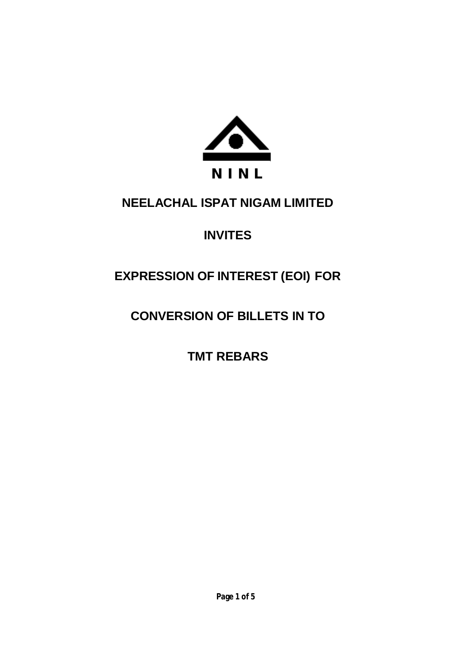

# **NEELACHAL ISPAT NIGAM LIMITED**

# **INVITES**

# **EXPRESSION OF INTEREST (EOI) FOR**

# **CONVERSION OF BILLETS IN TO**

**TMT REBARS**

**Page 1 of 5**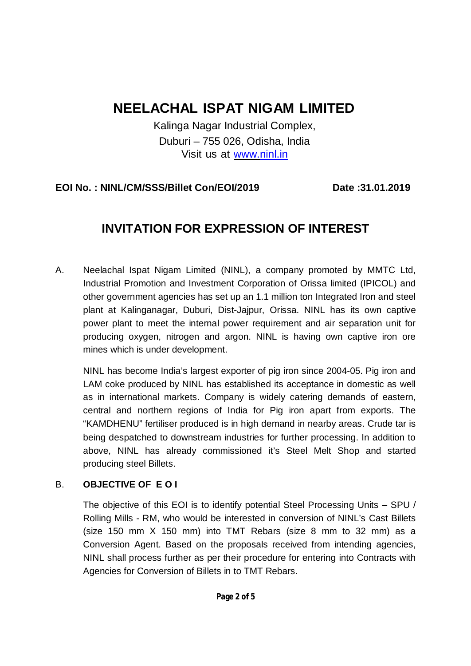# **NEELACHAL ISPAT NIGAM LIMITED**

Kalinga Nagar Industrial Complex, Duburi – 755 026, Odisha, India Visit us at www.ninl.in

### **EOI No. : NINL/CM/SSS/Billet Con/EOI/2019 Date :31.01.2019**

# **INVITATION FOR EXPRESSION OF INTEREST**

A. Neelachal Ispat Nigam Limited (NINL), a company promoted by MMTC Ltd, Industrial Promotion and Investment Corporation of Orissa limited (IPICOL) and other government agencies has set up an 1.1 million ton Integrated Iron and steel plant at Kalinganagar, Duburi, Dist-Jajpur, Orissa. NINL has its own captive power plant to meet the internal power requirement and air separation unit for producing oxygen, nitrogen and argon. NINL is having own captive iron ore mines which is under development.

NINL has become India's largest exporter of pig iron since 2004-05. Pig iron and LAM coke produced by NINL has established its acceptance in domestic as well as in international markets. Company is widely catering demands of eastern, central and northern regions of India for Pig iron apart from exports. The "KAMDHENU" fertiliser produced is in high demand in nearby areas. Crude tar is being despatched to downstream industries for further processing. In addition to above, NINL has already commissioned it's Steel Melt Shop and started producing steel Billets.

### B. **OBJECTIVE OF E O I**

The objective of this EOI is to identify potential Steel Processing Units – SPU / Rolling Mills - RM, who would be interested in conversion of NINL's Cast Billets (size 150 mm X 150 mm) into TMT Rebars (size 8 mm to 32 mm) as a Conversion Agent. Based on the proposals received from intending agencies, NINL shall process further as per their procedure for entering into Contracts with Agencies for Conversion of Billets in to TMT Rebars.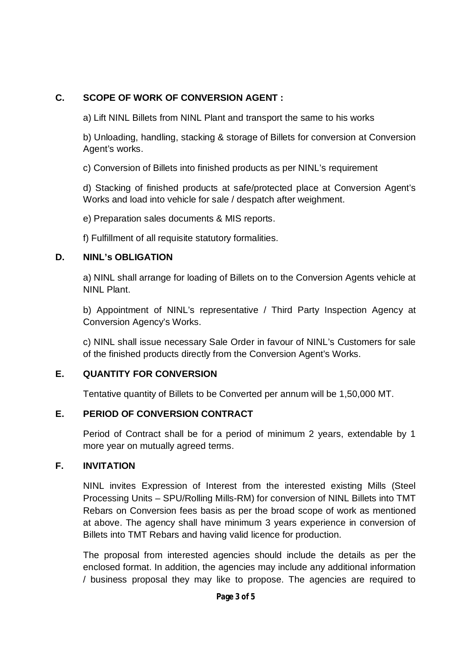#### **C. SCOPE OF WORK OF CONVERSION AGENT :**

a) Lift NINL Billets from NINL Plant and transport the same to his works

b) Unloading, handling, stacking & storage of Billets for conversion at Conversion Agent's works.

c) Conversion of Billets into finished products as per NINL's requirement

d) Stacking of finished products at safe/protected place at Conversion Agent's Works and load into vehicle for sale / despatch after weighment.

e) Preparation sales documents & MIS reports.

f) Fulfillment of all requisite statutory formalities.

#### **D. NINL's OBLIGATION**

a) NINL shall arrange for loading of Billets on to the Conversion Agents vehicle at NINL Plant.

b) Appointment of NINL's representative / Third Party Inspection Agency at Conversion Agency's Works.

c) NINL shall issue necessary Sale Order in favour of NINL's Customers for sale of the finished products directly from the Conversion Agent's Works.

#### **E. QUANTITY FOR CONVERSION**

Tentative quantity of Billets to be Converted per annum will be 1,50,000 MT.

#### **E. PERIOD OF CONVERSION CONTRACT**

Period of Contract shall be for a period of minimum 2 years, extendable by 1 more year on mutually agreed terms.

#### **F. INVITATION**

NINL invites Expression of Interest from the interested existing Mills (Steel Processing Units – SPU/Rolling Mills-RM) for conversion of NINL Billets into TMT Rebars on Conversion fees basis as per the broad scope of work as mentioned at above. The agency shall have minimum 3 years experience in conversion of Billets into TMT Rebars and having valid licence for production.

The proposal from interested agencies should include the details as per the enclosed format. In addition, the agencies may include any additional information / business proposal they may like to propose. The agencies are required to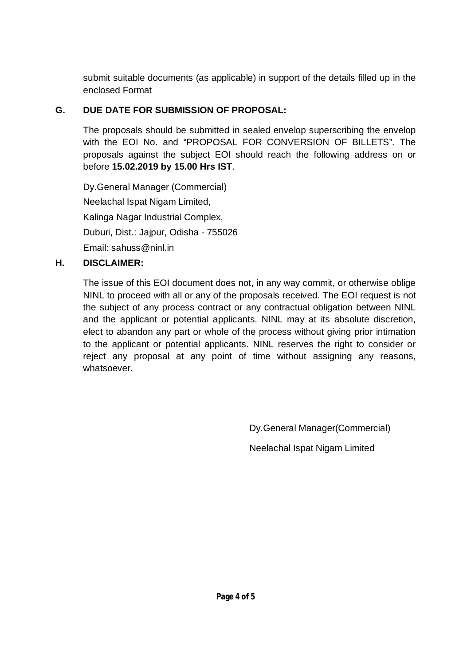submit suitable documents (as applicable) in support of the details filled up in the enclosed Format

### **G. DUE DATE FOR SUBMISSION OF PROPOSAL:**

The proposals should be submitted in sealed envelop superscribing the envelop with the EOI No. and "PROPOSAL FOR CONVERSION OF BILLETS". The proposals against the subject EOI should reach the following address on or before **15.02.2019 by 15.00 Hrs IST**.

Dy.General Manager (Commercial) Neelachal Ispat Nigam Limited, Kalinga Nagar Industrial Complex, Duburi, Dist.: Jajpur, Odisha - 755026 Email: sahuss@ninl.in

### **H. DISCLAIMER:**

The issue of this EOI document does not, in any way commit, or otherwise oblige NINL to proceed with all or any of the proposals received. The EOI request is not the subject of any process contract or any contractual obligation between NINL and the applicant or potential applicants. NINL may at its absolute discretion, elect to abandon any part or whole of the process without giving prior intimation to the applicant or potential applicants. NINL reserves the right to consider or reject any proposal at any point of time without assigning any reasons, whatsoever.

Dy.General Manager(Commercial)

Neelachal Ispat Nigam Limited